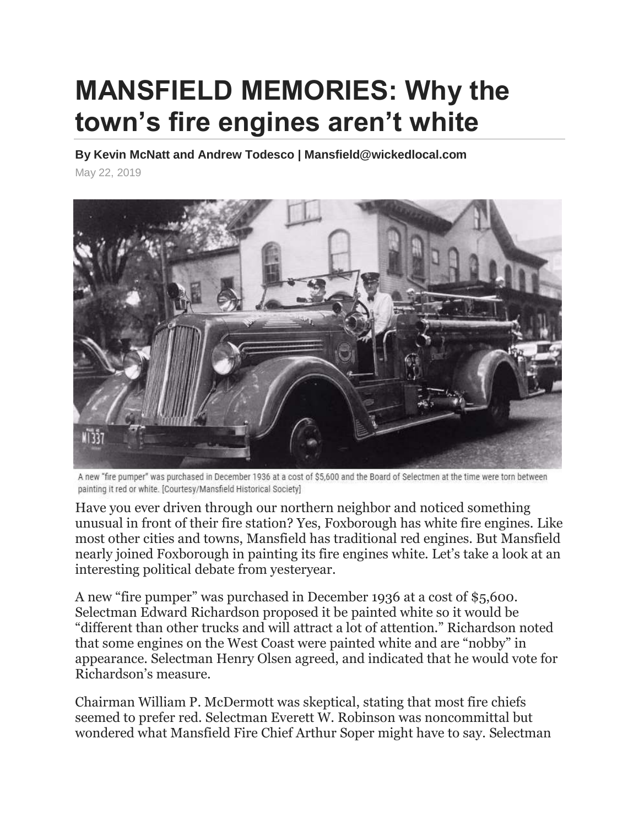## **MANSFIELD MEMORIES: Why the town's fire engines aren't white**

**By Kevin McNatt and Andrew Todesco | Mansfield@wickedlocal.com**

May 22, 2019



A new "fire pumper" was purchased in December 1936 at a cost of \$5,600 and the Board of Selectmen at the time were torn between painting it red or white. [Courtesy/Mansfield Historical Society]

Have you ever driven through our northern neighbor and noticed something unusual in front of their fire station? Yes, Foxborough has white fire engines. Like most other cities and towns, Mansfield has traditional red engines. But Mansfield nearly joined Foxborough in painting its fire engines white. Let's take a look at an interesting political debate from yesteryear.

A new "fire pumper" was purchased in December 1936 at a cost of \$5,600. Selectman Edward Richardson proposed it be painted white so it would be "different than other trucks and will attract a lot of attention." Richardson noted that some engines on the West Coast were painted white and are "nobby" in appearance. Selectman Henry Olsen agreed, and indicated that he would vote for Richardson's measure.

Chairman William P. McDermott was skeptical, stating that most fire chiefs seemed to prefer red. Selectman Everett W. Robinson was noncommittal but wondered what Mansfield Fire Chief Arthur Soper might have to say. Selectman